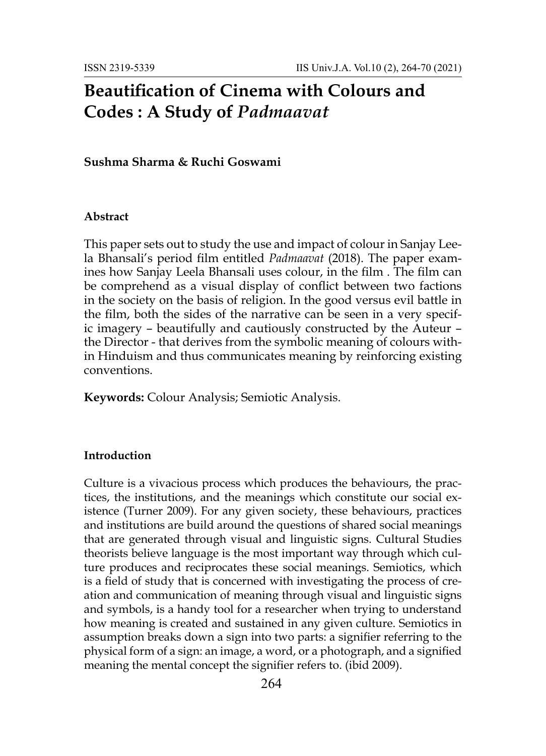# **Beautification of Cinema with Colours and Codes : A Study of** *Padmaavat*

### **Sushma Sharma & Ruchi Goswami**

#### **Abstract**

This paper sets out to study the use and impact of colour in Sanjay Leela Bhansali's period film entitled *Padmaavat* (2018). The paper examines how Sanjay Leela Bhansali uses colour, in the film . The film can be comprehend as a visual display of conflict between two factions in the society on the basis of religion. In the good versus evil battle in the film, both the sides of the narrative can be seen in a very specific imagery – beautifully and cautiously constructed by the Auteur – the Director - that derives from the symbolic meaning of colours within Hinduism and thus communicates meaning by reinforcing existing conventions.

**Keywords:** Colour Analysis; Semiotic Analysis.

### **Introduction**

Culture is a vivacious process which produces the behaviours, the practices, the institutions, and the meanings which constitute our social existence (Turner 2009). For any given society, these behaviours, practices and institutions are build around the questions of shared social meanings that are generated through visual and linguistic signs. Cultural Studies theorists believe language is the most important way through which culture produces and reciprocates these social meanings. Semiotics, which is a field of study that is concerned with investigating the process of creation and communication of meaning through visual and linguistic signs and symbols, is a handy tool for a researcher when trying to understand how meaning is created and sustained in any given culture. Semiotics in assumption breaks down a sign into two parts: a signifier referring to the physical form of a sign: an image, a word, or a photograph, and a signified meaning the mental concept the signifier refers to. (ibid 2009).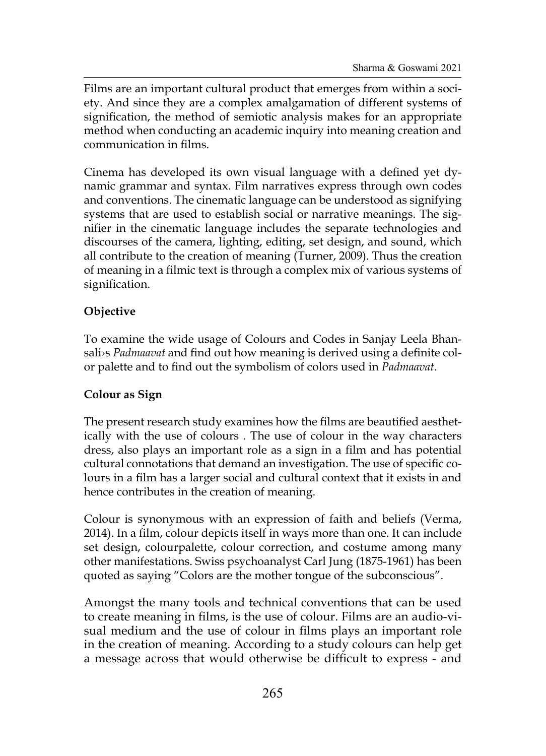Films are an important cultural product that emerges from within a society. And since they are a complex amalgamation of different systems of signification, the method of semiotic analysis makes for an appropriate method when conducting an academic inquiry into meaning creation and communication in films.

Cinema has developed its own visual language with a defined yet dynamic grammar and syntax. Film narratives express through own codes and conventions. The cinematic language can be understood as signifying systems that are used to establish social or narrative meanings. The signifier in the cinematic language includes the separate technologies and discourses of the camera, lighting, editing, set design, and sound, which all contribute to the creation of meaning (Turner, 2009). Thus the creation of meaning in a filmic text is through a complex mix of various systems of signification.

## **Objective**

To examine the wide usage of Colours and Codes in Sanjay Leela Bhansali›s *Padmaavat* and find out how meaning is derived using a definite color palette and to find out the symbolism of colors used in *Padmaavat*.

## **Colour as Sign**

The present research study examines how the films are beautified aesthetically with the use of colours . The use of colour in the way characters dress, also plays an important role as a sign in a film and has potential cultural connotations that demand an investigation. The use of specific colours in a film has a larger social and cultural context that it exists in and hence contributes in the creation of meaning.

Colour is synonymous with an expression of faith and beliefs (Verma, 2014). In a film, colour depicts itself in ways more than one. It can include set design, colourpalette, colour correction, and costume among many other manifestations. Swiss psychoanalyst Carl Jung (1875-1961) has been quoted as saying "Colors are the mother tongue of the subconscious".

Amongst the many tools and technical conventions that can be used to create meaning in films, is the use of colour. Films are an audio-visual medium and the use of colour in films plays an important role in the creation of meaning. According to a study colours can help get a message across that would otherwise be difficult to express - and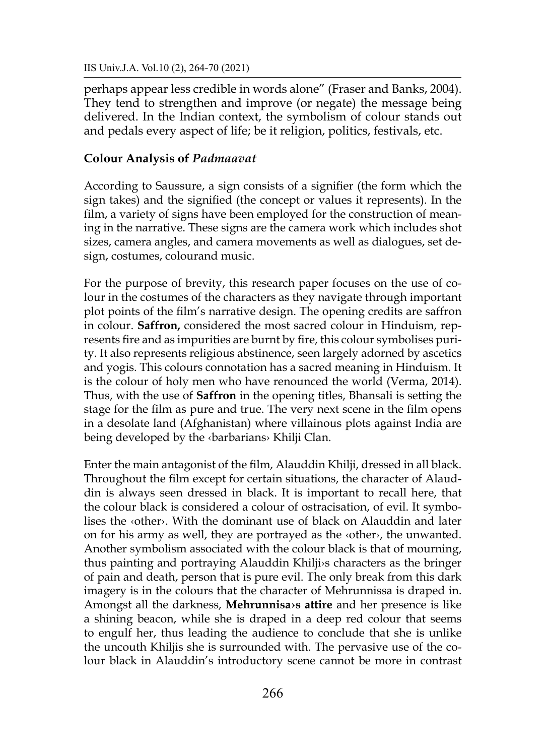IIS Univ.J.A. Vol.10 (2), 264-70 (2021)

perhaps appear less credible in words alone" (Fraser and Banks, 2004). They tend to strengthen and improve (or negate) the message being delivered. In the Indian context, the symbolism of colour stands out and pedals every aspect of life; be it religion, politics, festivals, etc.

### **Colour Analysis of** *Padmaavat*

According to Saussure, a sign consists of a signifier (the form which the sign takes) and the signified (the concept or values it represents). In the film, a variety of signs have been employed for the construction of meaning in the narrative. These signs are the camera work which includes shot sizes, camera angles, and camera movements as well as dialogues, set design, costumes, colourand music.

For the purpose of brevity, this research paper focuses on the use of colour in the costumes of the characters as they navigate through important plot points of the film's narrative design. The opening credits are saffron in colour. **Saffron,** considered the most sacred colour in Hinduism, represents fire and as impurities are burnt by fire, this colour symbolises purity. It also represents religious abstinence, seen largely adorned by ascetics and yogis. This colours connotation has a sacred meaning in Hinduism. It is the colour of holy men who have renounced the world (Verma, 2014). Thus, with the use of **Saffron** in the opening titles, Bhansali is setting the stage for the film as pure and true. The very next scene in the film opens in a desolate land (Afghanistan) where villainous plots against India are being developed by the ‹barbarians› Khilji Clan.

Enter the main antagonist of the film, Alauddin Khilji, dressed in all black. Throughout the film except for certain situations, the character of Alauddin is always seen dressed in black. It is important to recall here, that the colour black is considered a colour of ostracisation, of evil. It symbolises the ‹other›. With the dominant use of black on Alauddin and later on for his army as well, they are portrayed as the ‹other›, the unwanted. Another symbolism associated with the colour black is that of mourning, thus painting and portraying Alauddin Khilji›s characters as the bringer of pain and death, person that is pure evil. The only break from this dark imagery is in the colours that the character of Mehrunnissa is draped in. Amongst all the darkness, **Mehrunnisa›s attire** and her presence is like a shining beacon, while she is draped in a deep red colour that seems to engulf her, thus leading the audience to conclude that she is unlike the uncouth Khiljis she is surrounded with. The pervasive use of the colour black in Alauddin's introductory scene cannot be more in contrast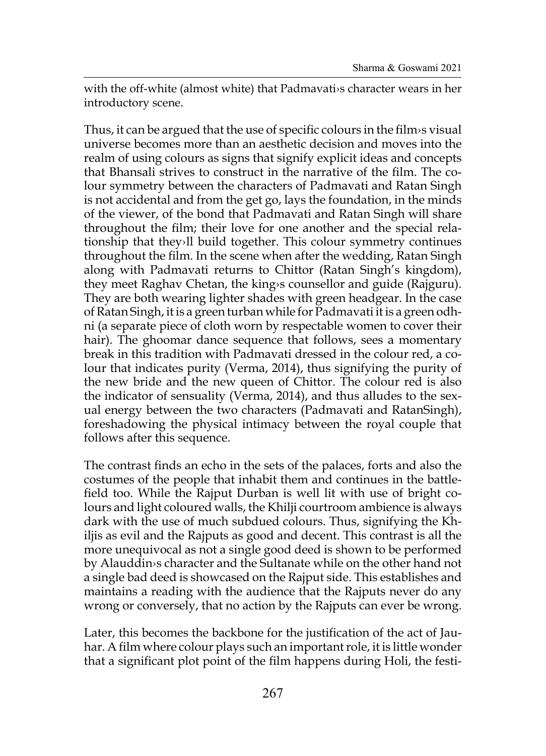with the off-white (almost white) that Padmavati›s character wears in her introductory scene.

Thus, it can be argued that the use of specific colours in the film›s visual universe becomes more than an aesthetic decision and moves into the realm of using colours as signs that signify explicit ideas and concepts that Bhansali strives to construct in the narrative of the film. The colour symmetry between the characters of Padmavati and Ratan Singh is not accidental and from the get go, lays the foundation, in the minds of the viewer, of the bond that Padmavati and Ratan Singh will share throughout the film; their love for one another and the special relationship that they›ll build together. This colour symmetry continues throughout the film. In the scene when after the wedding, Ratan Singh along with Padmavati returns to Chittor (Ratan Singh's kingdom), they meet Raghav Chetan, the king›s counsellor and guide (Rajguru). They are both wearing lighter shades with green headgear. In the case ofRatan Singh, it is a green turban while for Padmavati it is a green odhni (a separate piece of cloth worn by respectable women to cover their hair). The ghoomar dance sequence that follows, sees a momentary break in this tradition with Padmavati dressed in the colour red, a colour that indicates purity (Verma, 2014), thus signifying the purity of the new bride and the new queen of Chittor. The colour red is also the indicator of sensuality (Verma, 2014), and thus alludes to the sexual energy between the two characters (Padmavati and RatanSingh), foreshadowing the physical intimacy between the royal couple that follows after this sequence.

The contrast finds an echo in the sets of the palaces, forts and also the costumes of the people that inhabit them and continues in the battlefield too. While the Rajput Durban is well lit with use of bright colours and light coloured walls, the Khilji courtroom ambience is always dark with the use of much subdued colours. Thus, signifying the Khiljis as evil and the Rajputs as good and decent. This contrast is all the more unequivocal as not a single good deed is shown to be performed by Alauddin›s character and the Sultanate while on the other hand not a single bad deed is showcased on the Rajput side. This establishes and maintains a reading with the audience that the Rajputs never do any wrong or conversely, that no action by the Rajputs can ever be wrong.

Later, this becomes the backbone for the justification of the act of Jauhar. A film where colour plays such an important role, it is little wonder that a significant plot point of the film happens during Holi, the festi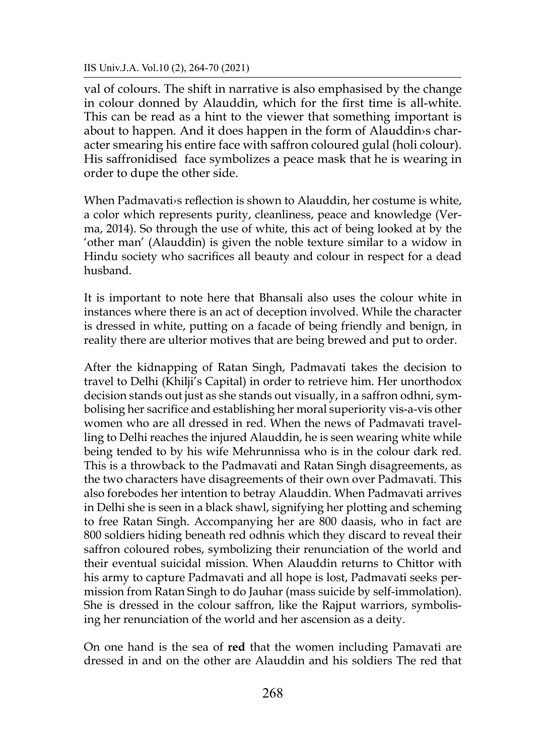IIS Univ.J.A. Vol.10 (2), 264-70 (2021)

val of colours. The shift in narrative is also emphasised by the change in colour donned by Alauddin, which for the first time is all-white. This can be read as a hint to the viewer that something important is about to happen. And it does happen in the form of Alauddin›s character smearing his entire face with saffron coloured gulal (holi colour). His saffronidised face symbolizes a peace mask that he is wearing in order to dupe the other side.

When Padmavati›s reflection is shown to Alauddin, her costume is white, a color which represents purity, cleanliness, peace and knowledge (Verma, 2014). So through the use of white, this act of being looked at by the 'other man' (Alauddin) is given the noble texture similar to a widow in Hindu society who sacrifices all beauty and colour in respect for a dead husband.

It is important to note here that Bhansali also uses the colour white in instances where there is an act of deception involved. While the character is dressed in white, putting on a facade of being friendly and benign, in reality there are ulterior motives that are being brewed and put to order.

After the kidnapping of Ratan Singh, Padmavati takes the decision to travel to Delhi (Khilji's Capital) in order to retrieve him. Her unorthodox decision stands out just as she stands out visually, in a saffron odhni, symbolising her sacrifice and establishing her moral superiority vis-a-vis other women who are all dressed in red. When the news of Padmavati travelling to Delhi reaches the injured Alauddin, he is seen wearing white while being tended to by his wife Mehrunnissa who is in the colour dark red. This is a throwback to the Padmavati and Ratan Singh disagreements, as the two characters have disagreements of their own over Padmavati. This also forebodes her intention to betray Alauddin. When Padmavati arrives in Delhi she is seen in a black shawl, signifying her plotting and scheming to free Ratan Singh. Accompanying her are 800 daasis, who in fact are 800 soldiers hiding beneath red odhnis which they discard to reveal their saffron coloured robes, symbolizing their renunciation of the world and their eventual suicidal mission. When Alauddin returns to Chittor with his army to capture Padmavati and all hope is lost, Padmavati seeks permission from Ratan Singh to do Jauhar (mass suicide by self-immolation). She is dressed in the colour saffron, like the Rajput warriors, symbolising her renunciation of the world and her ascension as a deity.

On one hand is the sea of **red** that the women including Pamavati are dressed in and on the other are Alauddin and his soldiers The red that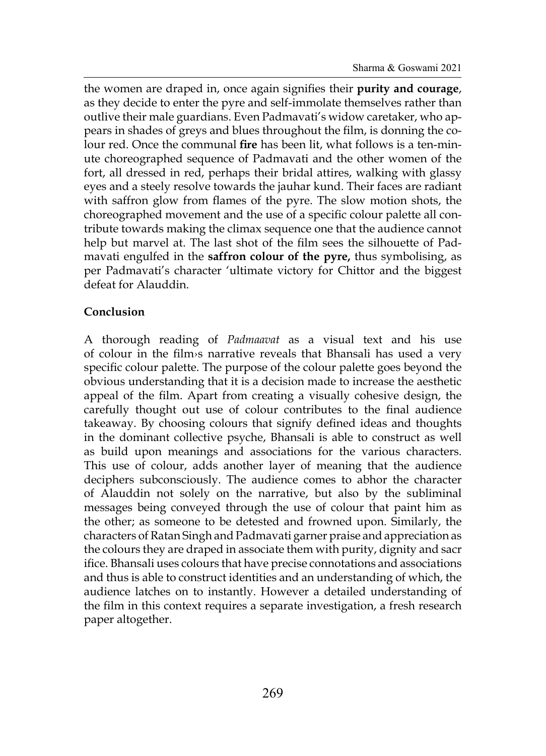the women are draped in, once again signifies their **purity and courage**, as they decide to enter the pyre and self-immolate themselves rather than outlive their male guardians. Even Padmavati's widow caretaker, who appears in shades of greys and blues throughout the film, is donning the colour red. Once the communal **fire** has been lit, what follows is a ten-minute choreographed sequence of Padmavati and the other women of the fort, all dressed in red, perhaps their bridal attires, walking with glassy eyes and a steely resolve towards the jauhar kund. Their faces are radiant with saffron glow from flames of the pyre. The slow motion shots, the choreographed movement and the use of a specific colour palette all contribute towards making the climax sequence one that the audience cannot help but marvel at. The last shot of the film sees the silhouette of Padmavati engulfed in the **saffron colour of the pyre,** thus symbolising, as per Padmavati's character 'ultimate victory for Chittor and the biggest defeat for Alauddin.

### **Conclusion**

A thorough reading of *Padmaavat* as a visual text and his use of colour in the film›s narrative reveals that Bhansali has used a very specific colour palette. The purpose of the colour palette goes beyond the obvious understanding that it is a decision made to increase the aesthetic appeal of the film. Apart from creating a visually cohesive design, the carefully thought out use of colour contributes to the final audience takeaway. By choosing colours that signify defined ideas and thoughts in the dominant collective psyche, Bhansali is able to construct as well as build upon meanings and associations for the various characters. This use of colour, adds another layer of meaning that the audience deciphers subconsciously. The audience comes to abhor the character of Alauddin not solely on the narrative, but also by the subliminal messages being conveyed through the use of colour that paint him as the other; as someone to be detested and frowned upon. Similarly, the characters of Ratan Singh and Padmavati garner praise and appreciation as the colours they are draped in associate them with purity, dignity and sacr ifice. Bhansali uses colours that have precise connotations and associations and thus is able to construct identities and an understanding of which, the audience latches on to instantly. However a detailed understanding of the film in this context requires a separate investigation, a fresh research paper altogether.